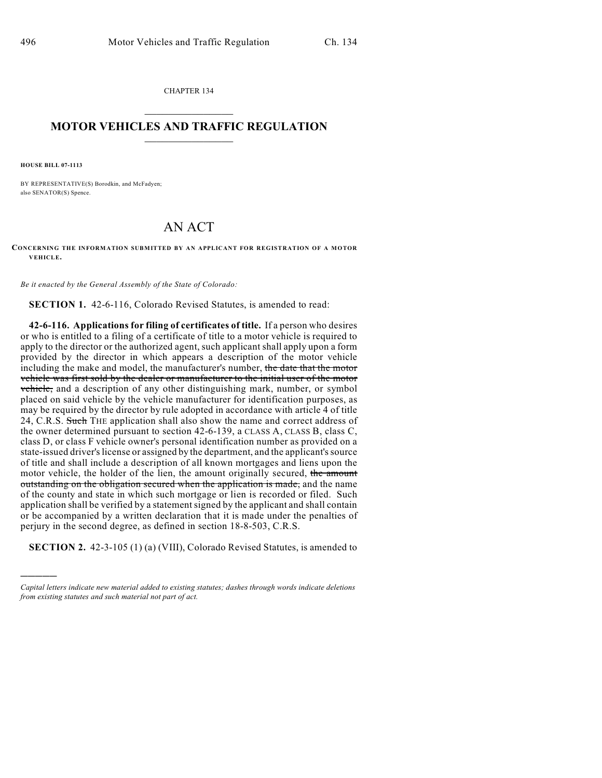CHAPTER 134  $\overline{\phantom{a}}$  . The set of the set of the set of the set of the set of the set of the set of the set of the set of the set of the set of the set of the set of the set of the set of the set of the set of the set of the set o

## **MOTOR VEHICLES AND TRAFFIC REGULATION**  $\frac{1}{2}$  ,  $\frac{1}{2}$  ,  $\frac{1}{2}$  ,  $\frac{1}{2}$  ,  $\frac{1}{2}$  ,  $\frac{1}{2}$  ,  $\frac{1}{2}$  ,  $\frac{1}{2}$

**HOUSE BILL 07-1113**

)))))

BY REPRESENTATIVE(S) Borodkin, and McFadyen; also SENATOR(S) Spence.

## AN ACT

## **CONCERNING THE INFORMATION SUBMITTED BY AN APPLICANT FOR REGISTRATION OF A MOTOR VEHICLE.**

*Be it enacted by the General Assembly of the State of Colorado:*

**SECTION 1.** 42-6-116, Colorado Revised Statutes, is amended to read:

**42-6-116. Applications for filing of certificates of title.** If a person who desires or who is entitled to a filing of a certificate of title to a motor vehicle is required to apply to the director or the authorized agent, such applicant shall apply upon a form provided by the director in which appears a description of the motor vehicle including the make and model, the manufacturer's number, the date that the motor vehicle was first sold by the dealer or manufacturer to the initial user of the motor vehicle, and a description of any other distinguishing mark, number, or symbol placed on said vehicle by the vehicle manufacturer for identification purposes, as may be required by the director by rule adopted in accordance with article 4 of title 24, C.R.S. Such THE application shall also show the name and correct address of the owner determined pursuant to section 42-6-139, a CLASS A, CLASS B, class C, class D, or class F vehicle owner's personal identification number as provided on a state-issued driver's license or assigned by the department, and the applicant's source of title and shall include a description of all known mortgages and liens upon the motor vehicle, the holder of the lien, the amount originally secured, the amount outstanding on the obligation secured when the application is made, and the name of the county and state in which such mortgage or lien is recorded or filed. Such application shall be verified by a statement signed by the applicant and shall contain or be accompanied by a written declaration that it is made under the penalties of perjury in the second degree, as defined in section 18-8-503, C.R.S.

**SECTION 2.** 42-3-105 (1) (a) (VIII), Colorado Revised Statutes, is amended to

*Capital letters indicate new material added to existing statutes; dashes through words indicate deletions from existing statutes and such material not part of act.*